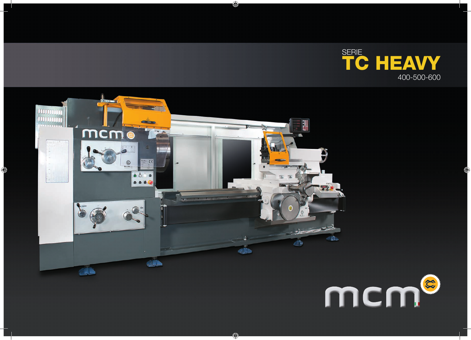



◈

⊕

♦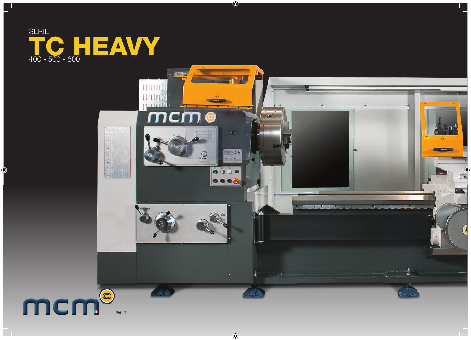

♦



 $\bigoplus$ 

 $\bigoplus$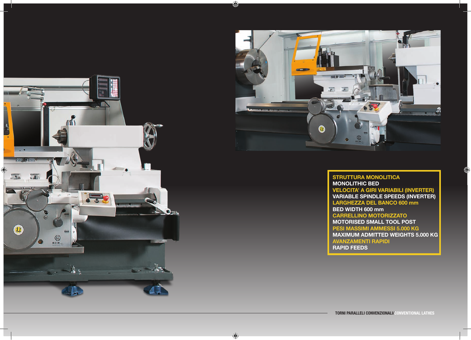



♦

 $\bigoplus$ 

**STRUTTURA MONOLITICA MONOLITHIC BED VELOCITA' A GIRI VARIABILI (INVERTER) VARIABLE SPINDLE SPEEDS (INVERTER) LARGHEZZA DEL BANCO 600 mm BED WIDTH 600 mm CARRELLINO MOTORIZZATO MOTORISED SMALL TOOL POST PESI MASSIMI AMMESSI 5.000 KG MAXIMUM ADMITTED WEIGHTS 5.000 KG AVANZAMENTI RAPIDI RAPID FEEDS**

Œ

**TORNI PARALLELI CONVENZIONALI/CONVENTIONAL LATHES**